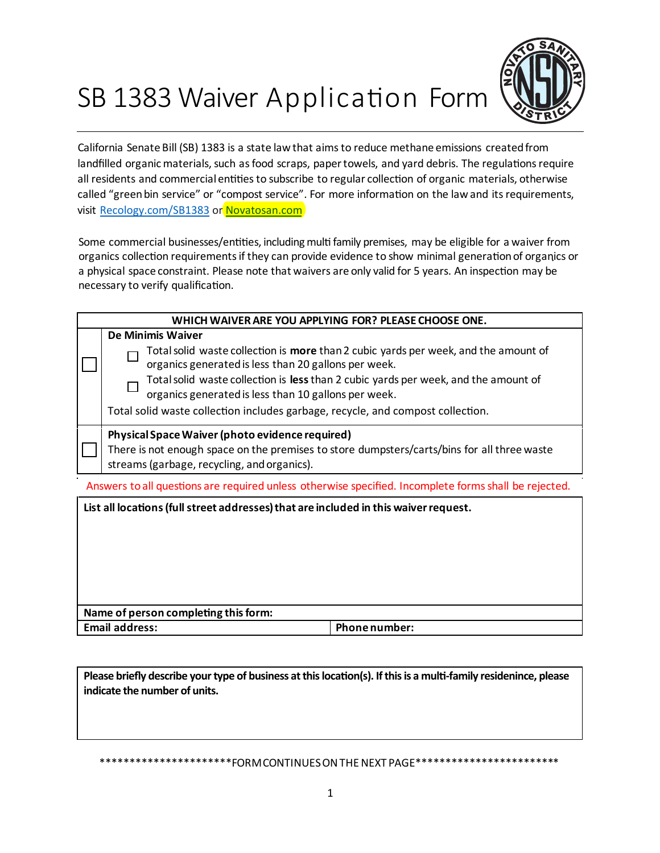## SB 1383 Waiver Application Form



California Senate Bill (SB) 1383 is a state lawthat aimsto reduce methane emissions createdfrom landfilled organic materials, such as food scraps, paper towels, and yard debris. The regulations require all residents and commercial entities to subscribe to regular collection of organic materials, otherwise called "green bin service" or "compost service". For more information on the law and its requirements, visit Recology.com/SB1383 or Novatosan.com

Some commercial businesses/entities, including multi family premises, may be eligible for a waiver from organics collection requirements if they can provide evidence to show minimal generationof organics or . a physical space constraint. Please note that waivers are only valid for 5 years. An inspection may be necessary to verify qualification.

| WHICH WAIVER ARE YOU APPLYING FOR? PLEASE CHOOSE ONE.                                                 |                                                                                                                                             |  |  |
|-------------------------------------------------------------------------------------------------------|---------------------------------------------------------------------------------------------------------------------------------------------|--|--|
|                                                                                                       | <b>De Minimis Waiver</b>                                                                                                                    |  |  |
|                                                                                                       | Total solid waste collection is more than 2 cubic yards per week, and the amount of<br>organics generated is less than 20 gallons per week. |  |  |
|                                                                                                       | Total solid waste collection is less than 2 cubic yards per week, and the amount of                                                         |  |  |
|                                                                                                       | organics generated is less than 10 gallons per week.                                                                                        |  |  |
|                                                                                                       | Total solid waste collection includes garbage, recycle, and compost collection.                                                             |  |  |
|                                                                                                       | Physical Space Waiver (photo evidence required)                                                                                             |  |  |
|                                                                                                       | There is not enough space on the premises to store dumpsters/carts/bins for all three waste                                                 |  |  |
|                                                                                                       | streams (garbage, recycling, and organics).                                                                                                 |  |  |
| Answers to all questions are required unless otherwise specified. Incomplete forms shall be rejected. |                                                                                                                                             |  |  |
| List all locations (full street addresses) that are included in this waiver request.                  |                                                                                                                                             |  |  |

**Name of person completing thisform: Email address: Phone number:** 

**Please briefly describe your type of business at this location(s). If this is a multi-family residenince, please indicate the number of units.**

\*\*\*\*\*\*\*\*\*\*\*\*\*\*\*\*\*\*\*\*\*\*FORM CONTINUES ON THE NEXT PAGE\*\*\*\*\*\*\*\*\*\*\*\*\*\*\*\*